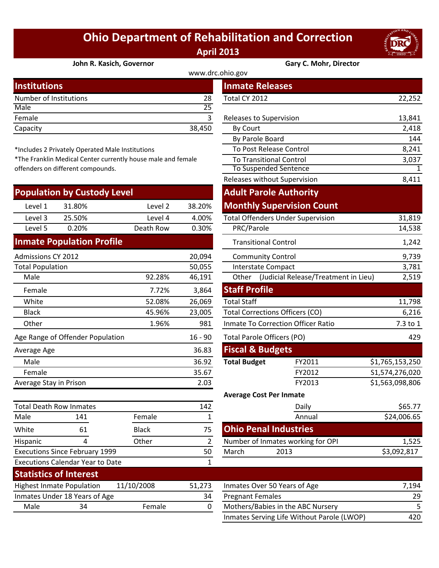## **Ohio Department of Rehabilitation and Correction April 2013**



## **[John R. Kasich, Governor](http://www.drc.ohio.gov/) Gary C. Mohr, Director**

| <b>Institutions</b>    |        | <b>Inmate Releases</b>  |        |  |
|------------------------|--------|-------------------------|--------|--|
| Number of Institutions | 28     | Total CY 2012           | 22,252 |  |
| Male                   | 25     |                         |        |  |
| Female                 |        | Releases to Supervision | 13,841 |  |
| Capacity               | 38,450 | <b>By Court</b>         | 2,418  |  |
|                        |        |                         |        |  |

\*Includes 2 Privately Operated Male Institutions

\*The Franklin Medical Center currently house male and female offenders on different compounds.

| <b>Population by Custody Level</b> |                                         |              |                | <b>Adult Parole Authority</b>          |                                            |                 |
|------------------------------------|-----------------------------------------|--------------|----------------|----------------------------------------|--------------------------------------------|-----------------|
| Level 1                            | 31.80%                                  | Level 2      | 38.20%         |                                        | <b>Monthly Supervision Count</b>           |                 |
| Level 3                            | 25.50%                                  | Level 4      | 4.00%          |                                        | <b>Total Offenders Under Supervision</b>   | 31,819          |
| Level 5                            | 0.20%                                   | Death Row    | 0.30%          | PRC/Parole                             |                                            | 14,538          |
|                                    | <b>Inmate Population Profile</b>        |              |                | <b>Transitional Control</b>            |                                            | 1,242           |
| <b>Admissions CY 2012</b>          |                                         |              | 20,094         | <b>Community Control</b>               |                                            | 9,739           |
| <b>Total Population</b>            |                                         |              | 50,055         | <b>Interstate Compact</b>              |                                            | 3,781           |
| Male                               |                                         | 92.28%       | 46,191         |                                        | Other (Judicial Release/Treatment in Lieu) | 2,519           |
| Female                             |                                         | 7.72%        | 3,864          | <b>Staff Profile</b>                   |                                            |                 |
| White                              |                                         | 52.08%       | 26,069         | <b>Total Staff</b>                     |                                            | 11,798          |
| <b>Black</b>                       |                                         | 45.96%       | 23,005         | <b>Total Corrections Officers (CO)</b> | 6,216                                      |                 |
| Other                              |                                         | 1.96%        | 981            |                                        | Inmate To Correction Officer Ratio         | 7.3 to 1        |
|                                    | Age Range of Offender Population        |              | $16 - 90$      | Total Parole Officers (PO)             |                                            | 429             |
| Average Age                        |                                         |              | 36.83          | <b>Fiscal &amp; Budgets</b>            |                                            |                 |
| Male                               |                                         |              | 36.92          | <b>Total Budget</b>                    | FY2011                                     | \$1,765,153,250 |
| Female                             |                                         |              | 35.67          |                                        | FY2012                                     | S1,574,276,020  |
| Average Stay in Prison             |                                         |              | 2.03           |                                        | FY2013                                     | \$1,563,098,806 |
|                                    |                                         |              |                | <b>Average Cost Per Inmate</b>         |                                            |                 |
| <b>Total Death Row Inmates</b>     |                                         |              | 142            |                                        | Daily                                      | \$65.77         |
| Male                               | 141                                     | Female       | $\mathbf{1}$   |                                        | Annual                                     | \$24,006.65     |
| White                              | 61                                      | <b>Black</b> | 75             | <b>Ohio Penal Industries</b>           |                                            |                 |
| Hispanic                           | 4                                       | Other        | $\overline{2}$ | Number of Inmates working for OPI      |                                            | 1,525           |
|                                    | <b>Executions Since February 1999</b>   |              | 50             | March                                  | 2013                                       | \$3,092,817     |
|                                    | <b>Executions Calendar Year to Date</b> |              | $\mathbf{1}$   |                                        |                                            |                 |
|                                    |                                         |              |                |                                        |                                            |                 |

| <b>Statistics of Interest</b>    |                               |            |        |                              |  |  |  |
|----------------------------------|-------------------------------|------------|--------|------------------------------|--|--|--|
| <b>Highest Inmate Population</b> |                               | 11/10/2008 | 51.273 | Inmates Over 50 Years of Age |  |  |  |
|                                  | Inmates Under 18 Years of Age |            | 34     | <b>Pregnant Females</b>      |  |  |  |
| Male                             | ₹Δ                            | Female     |        | Mothers/Babies in the ABC No |  |  |  |
|                                  |                               |            |        |                              |  |  |  |

|                                   |                                               |                                                           |                | www.drc.ohio.gov                  |                                            |                 |
|-----------------------------------|-----------------------------------------------|-----------------------------------------------------------|----------------|-----------------------------------|--------------------------------------------|-----------------|
| stitutions                        |                                               |                                                           |                | <b>Inmate Releases</b>            |                                            |                 |
|                                   | mber of Institutions                          |                                                           | 28             | Total CY 2012                     |                                            | 22,252          |
| le                                |                                               |                                                           | 25             |                                   |                                            |                 |
| nale                              |                                               |                                                           | $\overline{3}$ | Releases to Supervision           |                                            | 13,841          |
| acity                             |                                               |                                                           | 38,450         | <b>By Court</b>                   |                                            | 2,418           |
|                                   |                                               |                                                           |                | By Parole Board                   |                                            | 144             |
|                                   | cludes 2 Privately Operated Male Institutions |                                                           |                |                                   | To Post Release Control                    | 8,241           |
|                                   |                                               | e Franklin Medical Center currently house male and female |                | <b>To Transitional Control</b>    |                                            | 3,037           |
|                                   | nders on different compounds.                 |                                                           |                | <b>To Suspended Sentence</b>      |                                            | 1               |
|                                   |                                               |                                                           |                |                                   | Releases without Supervision               | 8,411           |
|                                   | pulation by Custody Level                     |                                                           |                |                                   | <b>Adult Parole Authority</b>              |                 |
| Level 1                           | 31.80%                                        | Level 2                                                   | 38.20%         |                                   | <b>Monthly Supervision Count</b>           |                 |
| Level 3                           | 25.50%                                        | Level 4                                                   | 4.00%          |                                   | <b>Total Offenders Under Supervision</b>   | 31,819          |
| Level 5                           | 0.20%                                         | Death Row                                                 | 0.30%          | PRC/Parole                        |                                            | 14,538          |
|                                   | nate Population Profile                       |                                                           |                |                                   | <b>Transitional Control</b>                | 1,242           |
| nissions CY 2012                  |                                               |                                                           | 20,094         |                                   | <b>Community Control</b>                   | 9,739           |
| al Population                     |                                               |                                                           | 50,055         |                                   | <b>Interstate Compact</b>                  | 3,781           |
| Male                              |                                               | 92.28%                                                    | 46,191         |                                   | Other (Judicial Release/Treatment in Lieu) | 2,519           |
| Female                            |                                               | 7.72%                                                     | 3,864          | <b>Staff Profile</b>              |                                            |                 |
| White                             |                                               | 52.08%                                                    | 26,069         | <b>Total Staff</b>                |                                            | 11,798          |
| <b>Black</b>                      |                                               | 45.96%                                                    | 23,005         |                                   | <b>Total Corrections Officers (CO)</b>     | 6,216           |
| <b>Other</b>                      |                                               | 1.96%                                                     | 981            |                                   | Inmate To Correction Officer Ratio         | 7.3 to 1        |
|                                   | <b>Range of Offender Population</b>           |                                                           | $16 - 90$      | 429<br>Total Parole Officers (PO) |                                            |                 |
| erage Age                         |                                               |                                                           | 36.83          | <b>Fiscal &amp; Budgets</b>       |                                            |                 |
| Male                              |                                               |                                                           | 36.92          | <b>Total Budget</b>               | FY2011                                     | \$1,765,153,250 |
| Female                            |                                               |                                                           | 35.67          |                                   | FY2012                                     | S1,574,276,020  |
|                                   | erage Stay in Prison                          |                                                           | 2.03           |                                   | FY2013                                     | \$1,563,098,806 |
|                                   |                                               |                                                           |                |                                   | <b>Average Cost Per Inmate</b>             |                 |
|                                   | al Death Row Inmates                          |                                                           | 142            |                                   | Daily                                      | \$65.77         |
| le                                | 141                                           | Female                                                    | $\mathbf{1}$   |                                   | Annual                                     | \$24,006.65     |
| ite                               | 61                                            | <b>Black</b>                                              | 75             |                                   | <b>Ohio Penal Industries</b>               |                 |
| panic                             | 4                                             | Other                                                     | $\overline{2}$ |                                   | Number of Inmates working for OPI          | 1,525           |
| cutions Since February 1999<br>50 |                                               |                                                           | March          | 2013                              | \$3,092,817                                |                 |
|                                   | cutions Calendar Year to Date                 |                                                           | $\mathbf{1}$   |                                   |                                            |                 |

| 11/10/2008<br><b>Highest Inmate Population</b> |                               | 51.273 | Inmates Over 50 Years of Age | 7.194                                      |     |
|------------------------------------------------|-------------------------------|--------|------------------------------|--------------------------------------------|-----|
|                                                | Inmates Under 18 Years of Age |        | 34                           | <b>Pregnant Females</b>                    | 29  |
| Male<br>34                                     |                               | Female |                              | Mothers/Babies in the ABC Nursery          |     |
|                                                |                               |        |                              | Inmates Serving Life Without Parole (LWOP) | 420 |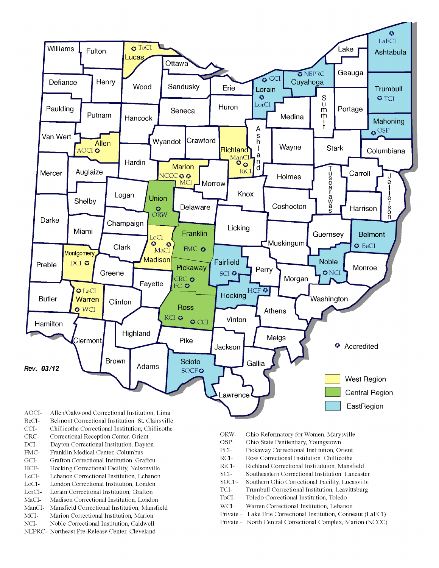

- BeCI-Belmont Correctional Institution, St. Clairsville
- $CCI-$ Chillicothe Correctional Institution, Chillicothe
- Correctional Reception Center, Orient CRC-
- $DCI-$ Dayton Correctional Institution, Dayton
- FMC-Franklin Medical Center, Columbus
- $\rm{GCI}\mbox{-}$ Grafton Correctional Institution, Grafton
- HCF-Hocking Correctional Facility, Nelsonville
- LeCI-Lebanon Correctional Institution, Lebanon
- LoCI-London Correctional Institution. London
- $\operatorname{LorCl-}$ Lorain Correctional Institution, Grafton
- $MaCI-$ Madison Correctional Institution, London
- ManCI-Mansfield Correctional Institution, Mansfield MCI-Marion Correctional Institution, Marion
- Noble Correctional Institution, Caldwell
- NCI-NEPRC- Northeast Pre-Release Center, Cleveland
- ORW-Ohio Reformatory for Women, Marysville
- OSP-Ohio State Penitentiary, Youngstown
- PCI-Pickaway Correctional Institution, Orient
- $\rm RCI-$ Ross Correctional Institution, Chillicothe
- RiCI-Richland Correctional Institutuion, Mansfield
- SCI-Southeastern Correctional Institution, Lancaster
- SOCF-Southern Ohio Correctional Facility, Lucasville
- TCI-Trumbull Correctional Institution, Leavittsburg
- ToCI-Toledo Correctional Institution, Toledo
- $WCI-$ Warren Correctional Institution, Lebanon
- Private Lake Erie Correctional Institution, Conneaut (LaECI)
- Private North Central Correctional Complex, Marion (NCCC)